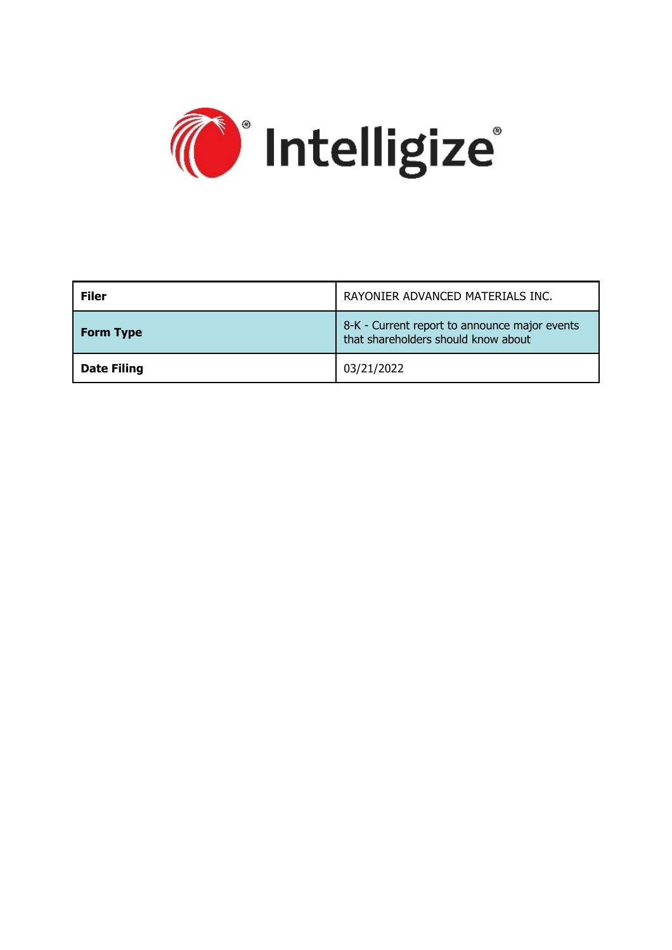

| <b>Filer</b>       | RAYONIER ADVANCED MATERIALS INC.                                                     |  |
|--------------------|--------------------------------------------------------------------------------------|--|
| <b>Form Type</b>   | 8-K - Current report to announce major events<br>that shareholders should know about |  |
| <b>Date Filing</b> | 03/21/2022                                                                           |  |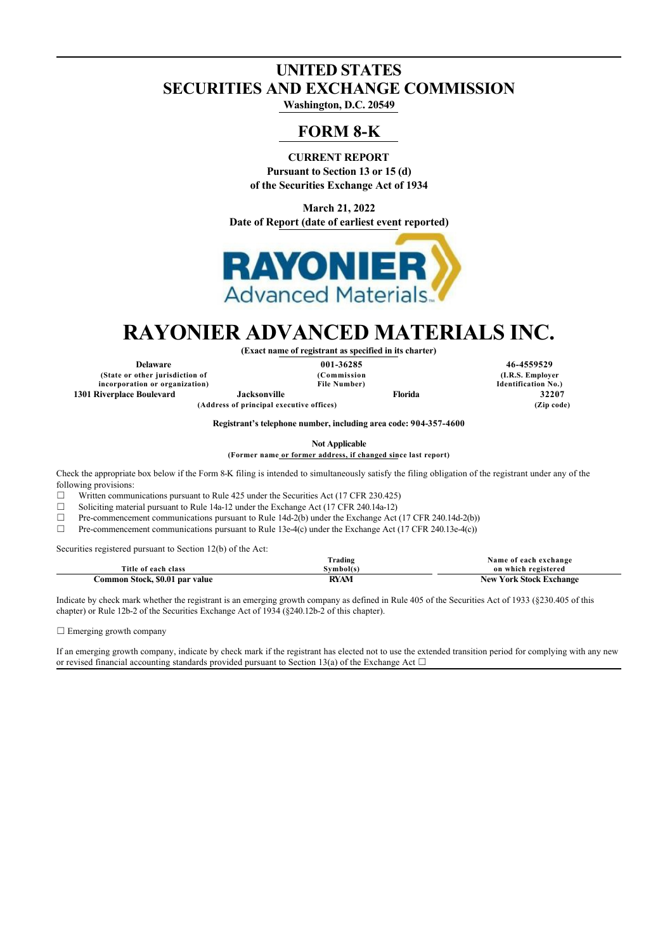# **UNITED STATES SECURITIES AND EXCHANGE COMMISSION**

**Washington, D.C. 20549**

# **FORM 8-K**

**CURRENT REPORT Pursuant to Section 13 or 15 (d) of the Securities Exchange Act of 1934**

**March 21, 2022 Date of Report (date of earliest event reported)**



# **RAYONIER ADVANCED MATERIALS INC. (Exact name of registrant as specified in its charter)**

**(State or other jurisdiction of incorporation or organization) 1301 Riverplace Boulevard Jacksonville Florida 32207**

**(Commission File Number)**

**(Address of principal executive offices) (Zip code)**

**Delaware 001-36285 46-4559529 (I.R.S. Employer Identification No.)**

**Registrant's telephone number, including area code: 904-357-4600**

**Not Applicable**

**(Former name or former address, if changed since last report)**

Check the appropriate box below if the Form 8-K filing is intended to simultaneously satisfy the filing obligation of the registrant under any of the following provisions:

 $\Box$  Written communications pursuant to Rule 425 under the Securities Act (17 CFR 230.425)

 $\Box$  Soliciting material pursuant to Rule 14a-12 under the Exchange Act (17 CFR 240.14a-12)

☐ Pre-commencement communications pursuant to Rule 14d-2(b) under the Exchange Act (17 CFR 240.14d-2(b))

 $\Box$  Pre-commencement communications pursuant to Rule 13e-4(c) under the Exchange Act (17 CFR 240.13e-4(c))

Securities registered pursuant to Section 12(b) of the Act:

|                                | frading     | Name of each exchange          |
|--------------------------------|-------------|--------------------------------|
| Title of each class            | švmbol(s)   | on which registered            |
| Common Stock, \$0.01 par value | <b>RYAM</b> | <b>New York Stock Exchange</b> |

Indicate by check mark whether the registrant is an emerging growth company as defined in Rule 405 of the Securities Act of 1933 (§230.405 of this chapter) or Rule 12b-2 of the Securities Exchange Act of 1934 (§240.12b-2 of this chapter).

□ Emerging growth company

If an emerging growth company, indicate by check mark if the registrant has elected not to use the extended transition period for complying with any new or revised financial accounting standards provided pursuant to Section 13(a) of the Exchange Act  $\Box$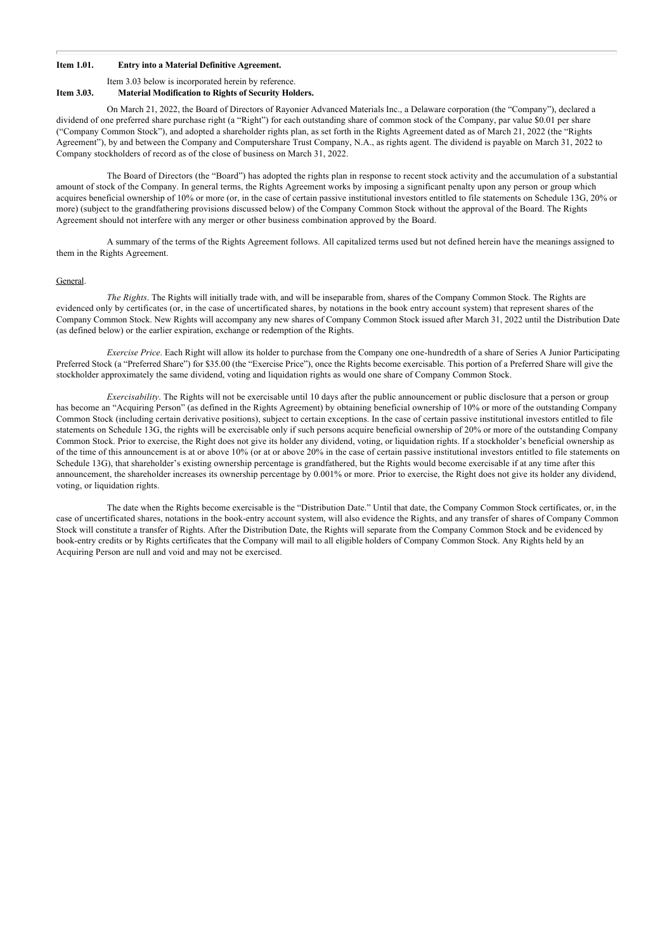### **Item 1.01. Entry into a Material Definitive Agreement.**

Item 3.03 below is incorporated herein by reference.

### **Item 3.03. Material Modification to Rights of Security Holders.**

On March 21, 2022, the Board of Directors of Rayonier Advanced Materials Inc., a Delaware corporation (the "Company"), declared a dividend of one preferred share purchase right (a "Right") for each outstanding share of common stock of the Company, par value \$0.01 per share ("Company Common Stock"), and adopted a shareholder rights plan, as set forth in the Rights Agreement dated as of March 21, 2022 (the "Rights Agreement"), by and between the Company and Computershare Trust Company, N.A., as rights agent. The dividend is payable on March 31, 2022 to Company stockholders of record as of the close of business on March 31, 2022.

The Board of Directors (the "Board") has adopted the rights plan in response to recent stock activity and the accumulation of a substantial amount of stock of the Company. In general terms, the Rights Agreement works by imposing a significant penalty upon any person or group which acquires beneficial ownership of 10% or more (or, in the case of certain passive institutional investors entitled to file statements on Schedule 13G, 20% or more) (subject to the grandfathering provisions discussed below) of the Company Common Stock without the approval of the Board. The Rights Agreement should not interfere with any merger or other business combination approved by the Board.

A summary of the terms of the Rights Agreement follows. All capitalized terms used but not defined herein have the meanings assigned to them in the Rights Agreement.

#### General.

*The Rights*. The Rights will initially trade with, and will be inseparable from, shares of the Company Common Stock. The Rights are evidenced only by certificates (or, in the case of uncertificated shares, by notations in the book entry account system) that represent shares of the Company Common Stock. New Rights will accompany any new shares of Company Common Stock issued after March 31, 2022 until the Distribution Date (as defined below) or the earlier expiration, exchange or redemption of the Rights.

*Exercise Price*. Each Right will allow its holder to purchase from the Company one one-hundredth of a share of Series A Junior Participating Preferred Stock (a "Preferred Share") for \$35.00 (the "Exercise Price"), once the Rights become exercisable. This portion of a Preferred Share will give the stockholder approximately the same dividend, voting and liquidation rights as would one share of Company Common Stock.

*Exercisability*. The Rights will not be exercisable until 10 days after the public announcement or public disclosure that a person or group has become an "Acquiring Person" (as defined in the Rights Agreement) by obtaining beneficial ownership of 10% or more of the outstanding Company Common Stock (including certain derivative positions), subject to certain exceptions. In the case of certain passive institutional investors entitled to file statements on Schedule 13G, the rights will be exercisable only if such persons acquire beneficial ownership of 20% or more of the outstanding Company Common Stock. Prior to exercise, the Right does not give its holder any dividend, voting, or liquidation rights. If a stockholder's beneficial ownership as of the time of this announcement is at or above 10% (or at or above 20% in the case of certain passive institutional investors entitled to file statements on Schedule 13G), that shareholder's existing ownership percentage is grandfathered, but the Rights would become exercisable if at any time after this announcement, the shareholder increases its ownership percentage by 0.001% or more. Prior to exercise, the Right does not give its holder any dividend, voting, or liquidation rights.

The date when the Rights become exercisable is the "Distribution Date." Until that date, the Company Common Stock certificates, or, in the case of uncertificated shares, notations in the book-entry account system, will also evidence the Rights, and any transfer of shares of Company Common Stock will constitute a transfer of Rights. After the Distribution Date, the Rights will separate from the Company Common Stock and be evidenced by book-entry credits or by Rights certificates that the Company will mail to all eligible holders of Company Common Stock. Any Rights held by an Acquiring Person are null and void and may not be exercised.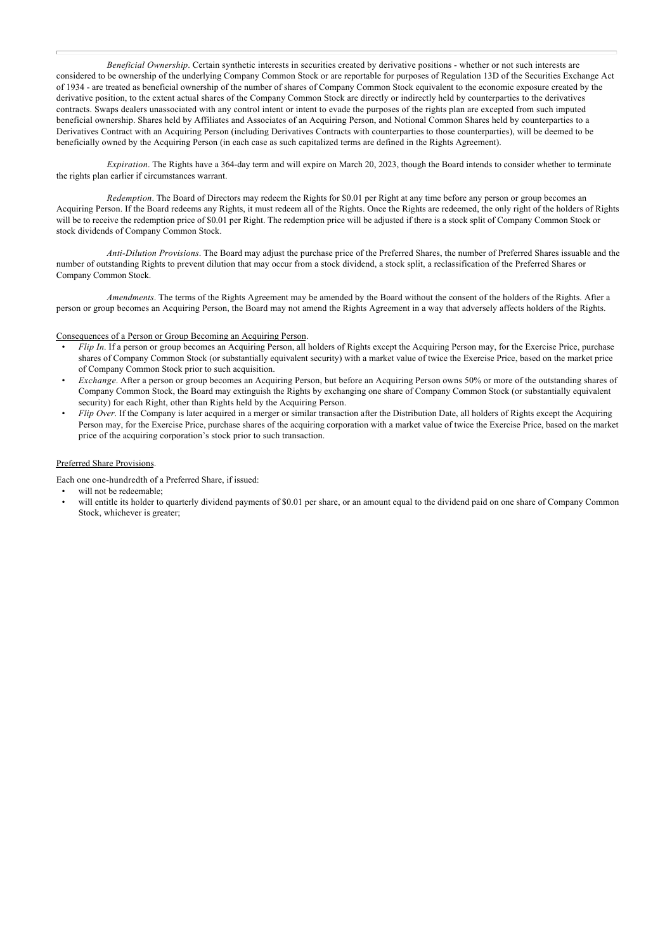*Beneficial Ownership*. Certain synthetic interests in securities created by derivative positions - whether or not such interests are considered to be ownership of the underlying Company Common Stock or are reportable for purposes of Regulation 13D of the Securities Exchange Act of 1934 - are treated as beneficial ownership of the number of shares of Company Common Stock equivalent to the economic exposure created by the derivative position, to the extent actual shares of the Company Common Stock are directly or indirectly held by counterparties to the derivatives contracts. Swaps dealers unassociated with any control intent or intent to evade the purposes of the rights plan are excepted from such imputed beneficial ownership. Shares held by Affiliates and Associates of an Acquiring Person, and Notional Common Shares held by counterparties to a Derivatives Contract with an Acquiring Person (including Derivatives Contracts with counterparties to those counterparties), will be deemed to be beneficially owned by the Acquiring Person (in each case as such capitalized terms are defined in the Rights Agreement).

*Expiration*. The Rights have a 364-day term and will expire on March 20, 2023, though the Board intends to consider whether to terminate the rights plan earlier if circumstances warrant.

*Redemption*. The Board of Directors may redeem the Rights for \$0.01 per Right at any time before any person or group becomes an Acquiring Person. If the Board redeems any Rights, it must redeem all of the Rights. Once the Rights are redeemed, the only right of the holders of Rights will be to receive the redemption price of \$0.01 per Right. The redemption price will be adjusted if there is a stock split of Company Common Stock or stock dividends of Company Common Stock.

*Anti-Dilution Provisions*. The Board may adjust the purchase price of the Preferred Shares, the number of Preferred Shares issuable and the number of outstanding Rights to prevent dilution that may occur from a stock dividend, a stock split, a reclassification of the Preferred Shares or Company Common Stock.

*Amendments*. The terms of the Rights Agreement may be amended by the Board without the consent of the holders of the Rights. After a person or group becomes an Acquiring Person, the Board may not amend the Rights Agreement in a way that adversely affects holders of the Rights.

#### Consequences of a Person or Group Becoming an Acquiring Person.

- *Flip In*. If a person or group becomes an Acquiring Person, all holders of Rights except the Acquiring Person may, for the Exercise Price, purchase shares of Company Common Stock (or substantially equivalent security) with a market value of twice the Exercise Price, based on the market price of Company Common Stock prior to such acquisition.
- *Exchange*. After a person or group becomes an Acquiring Person, but before an Acquiring Person owns 50% or more of the outstanding shares of Company Common Stock, the Board may extinguish the Rights by exchanging one share of Company Common Stock (or substantially equivalent security) for each Right, other than Rights held by the Acquiring Person.
- *Flip Over*. If the Company is later acquired in a merger or similar transaction after the Distribution Date, all holders of Rights except the Acquiring Person may, for the Exercise Price, purchase shares of the acquiring corporation with a market value of twice the Exercise Price, based on the market price of the acquiring corporation's stock prior to such transaction.

### Preferred Share Provisions.

Each one one-hundredth of a Preferred Share, if issued:

- will not be redeemable;
- will entitle its holder to quarterly dividend payments of \$0.01 per share, or an amount equal to the dividend paid on one share of Company Common Stock, whichever is greater;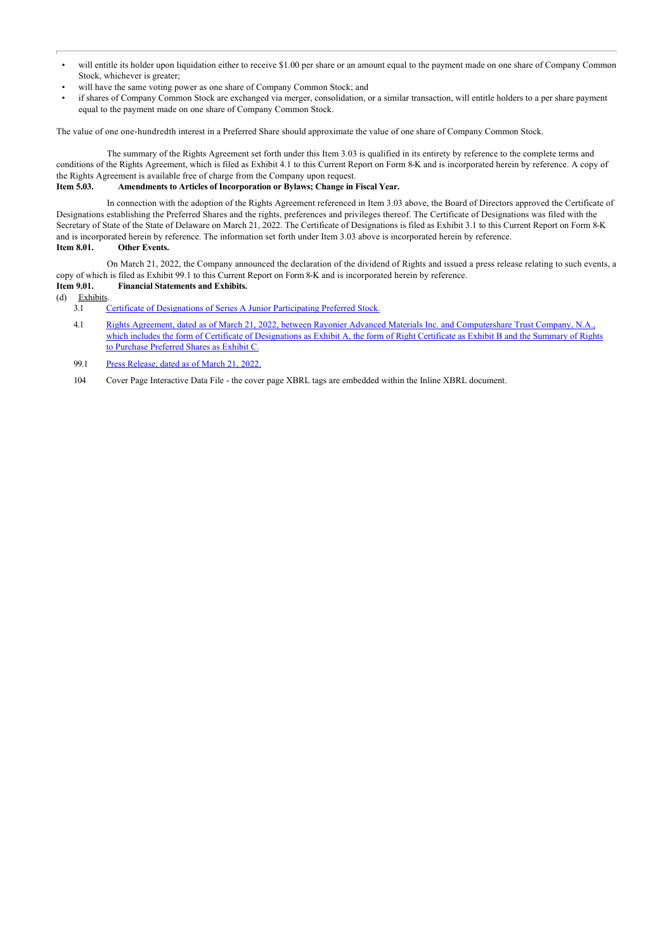- will entitle its holder upon liquidation either to receive \$1.00 per share or an amount equal to the payment made on one share of Company Common Stock, whichever is greater;
- will have the same voting power as one share of Company Common Stock; and
- if shares of Company Common Stock are exchanged via merger, consolidation, or a similar transaction, will entitle holders to a per share payment equal to the payment made on one share of Company Common Stock.

The value of one one-hundredth interest in a Preferred Share should approximate the value of one share of Company Common Stock.

The summary of the Rights Agreement set forth under this Item 3.03 is qualified in its entirety by reference to the complete terms and conditions of the Rights Agreement, which is filed as Exhibit 4.1 to this Current Report on Form 8-K and is incorporated herein by reference. A copy of the Rights Agreement is available free of charge from the Company upon request. **Item 5.03. Amendments to Articles of Incorporation or Bylaws; Change in Fiscal Year.**

In connection with the adoption of the Rights Agreement referenced in Item 3.03 above, the Board of Directors approved the Certificate of Designations establishing the Preferred Shares and the rights, preferences and privileges thereof. The Certificate of Designations was filed with the Secretary of State of the State of Delaware on March 21, 2022. The Certificate of Designations is filed as Exhibit 3.1 to this Current Report on Form 8-K and is incorporated herein by reference. The information set forth under Item 3.03 above is incorporated herein by reference.

**Item 8.01. Other Events.**

On March 21, 2022, the Company announced the declaration of the dividend of Rights and issued a press release relating to such events, a copy of which is filed as Exhibit 99.1 to this Current Report on Form 8-K and is incorporated herein by reference.<br> **Item 9.01.** Financial Statements and Exhibits.

## **Financial Statements and Exhibits.**

(d)  $\frac{\text{Exhibits}}{3.1}$ 

[Certificate of Designations of Series A Junior Participating Preferred Stock.](http://www.sec.gov/Archives/edgar/data/1597672/000119312522080098/d335170dex31.htm)

4.1 Rights Agreement, dated as of March 21, 2022, between Rayonier Advanced Materials Inc. and Computershare Trust Company, N.A., [which includes the form of Certificate of Designations as Exhibit A, the form of Right Certificate as Exhibit B and the Summary of Rights](http://www.sec.gov/Archives/edgar/data/1597672/000119312522080098/d335170dex41.htm) to Purchase Preferred Shares as Exhibit C.

99.1 [Press Release, dated as of March 21, 2022.](http://www.sec.gov/Archives/edgar/data/1597672/000119312522080098/d335170dex991.htm)

104 Cover Page Interactive Data File - the cover page XBRL tags are embedded within the Inline XBRL document.